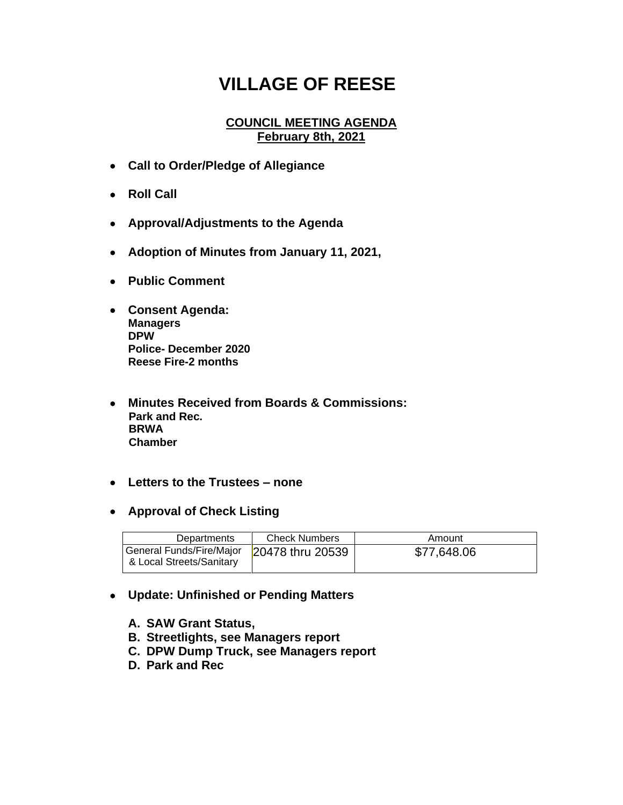## **VILLAGE OF REESE**

## **COUNCIL MEETING AGENDA February 8th, 2021**

- **Call to Order/Pledge of Allegiance**
- **Roll Call**
- **Approval/Adjustments to the Agenda**
- **Adoption of Minutes from January 11, 2021,**
- **Public Comment**
- **Consent Agenda: Managers DPW Police- December 2020 Reese Fire-2 months**
- **Minutes Received from Boards & Commissions: Park and Rec. BRWA Chamber**
- **Letters to the Trustees – none**
- **Approval of Check Listing**

| Departments                                          | <b>Check Numbers</b> | Amount      |
|------------------------------------------------------|----------------------|-------------|
| General Funds/Fire/Major<br>& Local Streets/Sanitary | 20478 thru 20539     | \$77,648.06 |

- **Update: Unfinished or Pending Matters**
	- **A. SAW Grant Status,**
	- **B. Streetlights, see Managers report**
	- **C. DPW Dump Truck, see Managers report**
	- **D. Park and Rec**